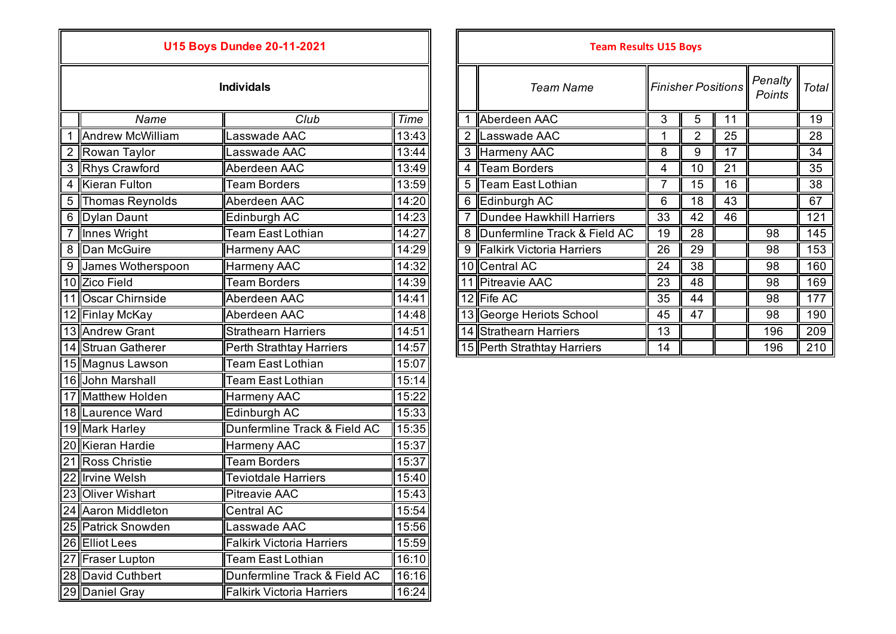## **U15 Boys Dundee 20-11-2021**

|                | Name                    | Club                             | Time  |
|----------------|-------------------------|----------------------------------|-------|
| 1              | <b>Andrew McWilliam</b> | Lasswade AAC                     | 13:43 |
| $\overline{2}$ | Rowan Taylor            | Lasswade AAC                     | 13:44 |
| 3              | <b>Rhys Crawford</b>    | Aberdeen AAC                     | 13:49 |
| 4              | <b>Kieran Fulton</b>    | Team Borders                     | 13:59 |
| 5              | Thomas Reynolds         | Aberdeen AAC                     | 14:20 |
| 6              | Dylan Daunt             | Edinburgh AC                     | 14:23 |
| $\overline{7}$ | Innes Wright            | <b>Team East Lothian</b>         | 14:27 |
| 8              | Dan McGuire             | <b>Harmeny AAC</b>               | 14:29 |
| 9              | James Wotherspoon       | <b>Harmeny AAC</b>               | 14:32 |
|                | 10 Zico Field           | <b>Team Borders</b>              | 14:39 |
|                | 11 Oscar Chirnside      | Aberdeen AAC                     | 14:41 |
|                | 12 Finlay McKay         | Aberdeen AAC                     | 14:48 |
|                | 13 Andrew Grant         | <b>Strathearn Harriers</b>       | 14:51 |
|                | 14 Struan Gatherer      | Perth Strathtay Harriers         | 14:57 |
|                | 15 Magnus Lawson        | Team East Lothian                | 15:07 |
|                | 16 John Marshall        | <b>Team East Lothian</b>         | 15:14 |
|                | 17 Matthew Holden       | <b>Harmeny AAC</b>               | 15:22 |
|                | 18 Laurence Ward        | Edinburgh AC                     | 15:33 |
|                | 19 Mark Harley          | Dunfermline Track & Field AC     | 15:35 |
|                | 20 Kieran Hardie        | <b>Harmeny AAC</b>               | 15:37 |
|                | 21 Ross Christie        | <b>Team Borders</b>              | 15:37 |
|                | 22 Irvine Welsh         | <b>Teviotdale Harriers</b>       | 15:40 |
|                | 23 Oliver Wishart       | <b>Pitreavie AAC</b>             | 15:43 |
|                | 24 Aaron Middleton      | <b>Central AC</b>                | 15:54 |
|                | 25 Patrick Snowden      | Lasswade AAC                     | 15:56 |
|                | 26 Elliot Lees          | <b>Falkirk Victoria Harriers</b> | 15:59 |
|                | 27 Fraser Lupton        | Team East Lothian                | 16:10 |
|                | 28 David Cuthbert       | Dunfermline Track & Field AC     | 16:16 |
|                | 29 Daniel Gray          | <b>Falkirk Victoria Harriers</b> | 16:24 |

| <b>U15 Boys Dundee 20-11-2021</b> |                     |                            |       | <b>Team Results U15 Boys</b> |                                |    |                           |    |                   |       |
|-----------------------------------|---------------------|----------------------------|-------|------------------------------|--------------------------------|----|---------------------------|----|-------------------|-------|
|                                   |                     | <b>Individals</b>          |       |                              | <b>Team Name</b>               |    | <b>Finisher Positions</b> |    | Penalty<br>Points | Total |
|                                   | Name                | Club                       | Time  |                              | Aberdeen AAC                   | 3  | 5                         | 11 |                   | 19    |
|                                   | Andrew McWilliam    | asswade AAC                | 13:43 |                              | 2 Lasswade AAC                 |    |                           | 25 |                   | 28    |
|                                   | 2 Rowan Taylor      | Lasswade AAC               | 13:44 |                              | 3 Harmeny AAC                  | 8  | 9                         | 17 |                   | 34    |
|                                   | 3 Rhys Crawford     | Aberdeen AAC               | 13:49 |                              | 4 Team Borders                 | 4  | 10                        | 21 |                   | 35    |
|                                   | 4 Kieran Fulton     | <b>Team Borders</b>        | 13:59 |                              | 5 Team East Lothian            | 7  | 15                        | 16 |                   | 38    |
|                                   | 5 Thomas Reynolds   | Aberdeen AAC               | 14:20 |                              | 6 Edinburgh AC                 | 6  | 18                        | 43 |                   | 67    |
|                                   | 6 Dylan Daunt       | Edinburgh AC               | 14:23 |                              | Dundee Hawkhill Harriers       | 33 | 42                        | 46 |                   | 121   |
|                                   | 7 Innes Wright      | Team East Lothian          | 14:27 |                              | 8 Dunfermline Track & Field AC | 19 | 28                        |    | 98                | 145   |
|                                   | 8 Dan McGuire       | Harmeny AAC                | 14:29 |                              | 9 Falkirk Victoria Harriers    | 26 | 29                        |    | 98                | 153   |
|                                   | 9 James Wotherspoon | Harmeny AAC                | 14:32 |                              | 10 Central AC                  | 24 | 38                        |    | 98                | 160   |
|                                   | 10 Zico Field       | <b>Team Borders</b>        | 14:39 |                              | 11 Pitreavie AAC               | 23 | 48                        |    | 98                | 169   |
|                                   | 11 Oscar Chirnside  | Aberdeen AAC               | 14:41 |                              | $12$ Fife AC                   | 35 | 44                        |    | 98                | 177   |
|                                   | 12 Finlay McKay     | Aberdeen AAC               | 14:48 |                              | 13 George Heriots School       | 45 | 47                        |    | 98                | 190   |
|                                   | 13 Andrew Grant     | <b>Strathearn Harriers</b> | 14:51 |                              | 14 Strathearn Harriers         | 13 |                           |    | 196               | 209   |
|                                   | 14 Struan Gatherer  | Perth Strathtay Harriers   | 14:57 |                              | 15 Perth Strathtay Harriers    | 14 |                           |    | 196               | 210   |